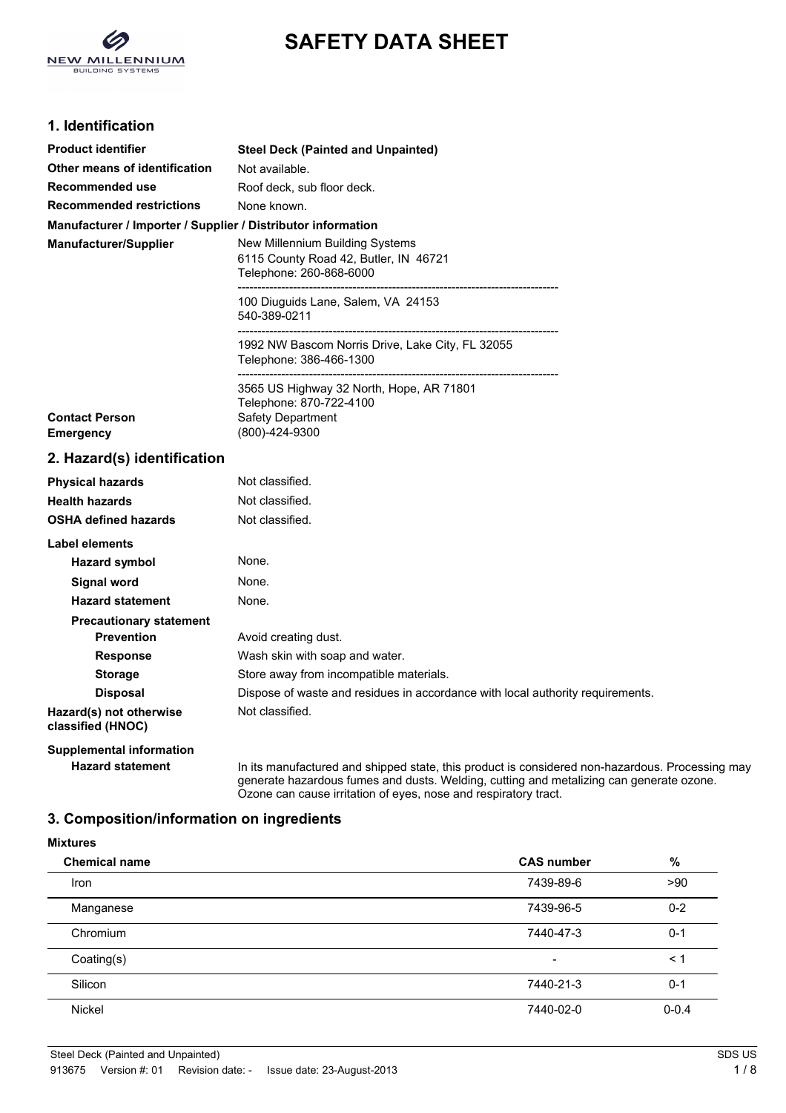

# **SAFETY DATA SHEET**

# **1. Identification**

| <b>Product identifier</b>                                    | <b>Steel Deck (Painted and Unpainted)</b>                                      |
|--------------------------------------------------------------|--------------------------------------------------------------------------------|
| Other means of identification                                | Not available.                                                                 |
| Recommended use                                              | Roof deck, sub floor deck.                                                     |
| <b>Recommended restrictions</b>                              | None known.                                                                    |
| Manufacturer / Importer / Supplier / Distributor information |                                                                                |
| Manufacturer/Supplier                                        | New Millennium Building Systems                                                |
|                                                              | 6115 County Road 42, Butler, IN 46721                                          |
|                                                              | Telephone: 260-868-6000                                                        |
|                                                              | 100 Diuguids Lane, Salem, VA 24153                                             |
|                                                              | 540-389-0211                                                                   |
|                                                              | 1992 NW Bascom Norris Drive, Lake City, FL 32055                               |
|                                                              | Telephone: 386-466-1300                                                        |
|                                                              | 3565 US Highway 32 North, Hope, AR 71801                                       |
|                                                              | Telephone: 870-722-4100                                                        |
| <b>Contact Person</b>                                        | Safety Department                                                              |
| <b>Emergency</b>                                             | (800)-424-9300                                                                 |
| 2. Hazard(s) identification                                  |                                                                                |
| <b>Physical hazards</b>                                      | Not classified.                                                                |
| <b>Health hazards</b>                                        | Not classified.                                                                |
| <b>OSHA defined hazards</b>                                  | Not classified.                                                                |
| Label elements                                               |                                                                                |
| <b>Hazard symbol</b>                                         | None.                                                                          |
| <b>Signal word</b>                                           | None.                                                                          |
| <b>Hazard statement</b>                                      | None.                                                                          |
| <b>Precautionary statement</b>                               |                                                                                |
| <b>Prevention</b>                                            | Avoid creating dust.                                                           |
| <b>Response</b>                                              | Wash skin with soap and water.                                                 |
| <b>Storage</b>                                               | Store away from incompatible materials.                                        |
| <b>Disposal</b>                                              | Dispose of waste and residues in accordance with local authority requirements. |
| Hazard(s) not otherwise<br>classified (HNOC)                 | Not classified.                                                                |
| <b>Supplemental information</b>                              |                                                                                |

Hazard statement **In its manufactured and shipped state**, this product is considered non-hazardous. Processing may generate hazardous fumes and dusts. Welding, cutting and metalizing can generate ozone. Ozone can cause irritation of eyes, nose and respiratory tract.

# **3. Composition/information on ingredients**

| <b>Mixtures</b>      |                          |           |  |
|----------------------|--------------------------|-----------|--|
| <b>Chemical name</b> | <b>CAS number</b>        | $\%$      |  |
| Iron                 | 7439-89-6                | >90       |  |
| Manganese            | 7439-96-5                | $0 - 2$   |  |
| Chromium             | 7440-47-3                | $0 - 1$   |  |
| Coating(s)           | $\overline{\phantom{a}}$ | $\leq 1$  |  |
| Silicon              | 7440-21-3                | $0 - 1$   |  |
| Nickel               | 7440-02-0                | $0 - 0.4$ |  |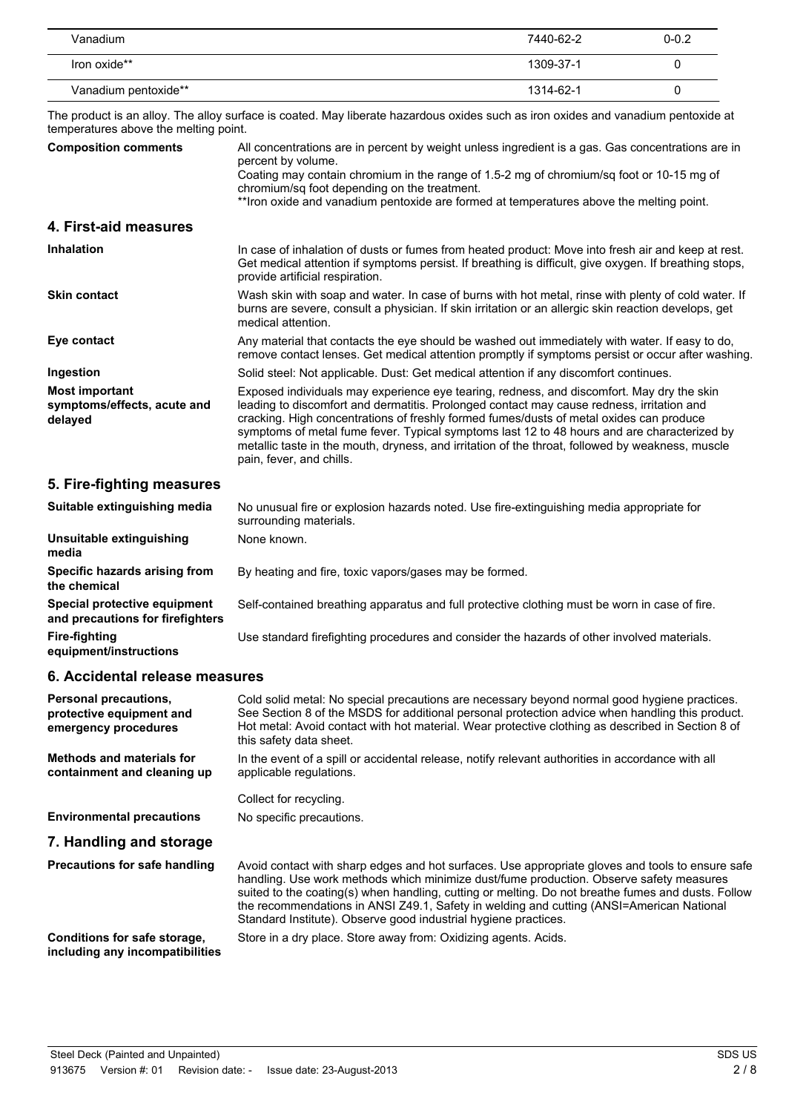| Vanadium             | 7440-62-2 | $0 - 0.2$ |
|----------------------|-----------|-----------|
| Iron oxide**         | 1309-37-1 |           |
| Vanadium pentoxide** | 1314-62-1 |           |

The product is an alloy. The alloy surface is coated. May liberate hazardous oxides such as iron oxides and vanadium pentoxide at temperatures above the melting point.

| <b>Composition comments</b>                                     | All concentrations are in percent by weight unless ingredient is a gas. Gas concentrations are in<br>percent by volume.<br>Coating may contain chromium in the range of 1.5-2 mg of chromium/sq foot or 10-15 mg of<br>chromium/sq foot depending on the treatment.<br>**Iron oxide and vanadium pentoxide are formed at temperatures above the melting point.                                                                                                                                                   |
|-----------------------------------------------------------------|------------------------------------------------------------------------------------------------------------------------------------------------------------------------------------------------------------------------------------------------------------------------------------------------------------------------------------------------------------------------------------------------------------------------------------------------------------------------------------------------------------------|
| 4. First-aid measures                                           |                                                                                                                                                                                                                                                                                                                                                                                                                                                                                                                  |
| <b>Inhalation</b>                                               | In case of inhalation of dusts or fumes from heated product: Move into fresh air and keep at rest.<br>Get medical attention if symptoms persist. If breathing is difficult, give oxygen. If breathing stops,<br>provide artificial respiration.                                                                                                                                                                                                                                                                  |
| <b>Skin contact</b>                                             | Wash skin with soap and water. In case of burns with hot metal, rinse with plenty of cold water. If<br>burns are severe, consult a physician. If skin irritation or an allergic skin reaction develops, get<br>medical attention.                                                                                                                                                                                                                                                                                |
| Eye contact                                                     | Any material that contacts the eye should be washed out immediately with water. If easy to do,<br>remove contact lenses. Get medical attention promptly if symptoms persist or occur after washing.                                                                                                                                                                                                                                                                                                              |
| Ingestion                                                       | Solid steel: Not applicable. Dust: Get medical attention if any discomfort continues.                                                                                                                                                                                                                                                                                                                                                                                                                            |
| <b>Most important</b><br>symptoms/effects, acute and<br>delayed | Exposed individuals may experience eye tearing, redness, and discomfort. May dry the skin<br>leading to discomfort and dermatitis. Prolonged contact may cause redness, irritation and<br>cracking. High concentrations of freshly formed fumes/dusts of metal oxides can produce<br>symptoms of metal fume fever. Typical symptoms last 12 to 48 hours and are characterized by<br>metallic taste in the mouth, dryness, and irritation of the throat, followed by weakness, muscle<br>pain, fever, and chills. |

### **5. Fire-fighting measures**

| Suitable extinguishing media                                     | No unusual fire or explosion hazards noted. Use fire-extinguishing media appropriate for<br>surrounding materials. |
|------------------------------------------------------------------|--------------------------------------------------------------------------------------------------------------------|
| Unsuitable extinguishing<br>media                                | None known.                                                                                                        |
| Specific hazards arising from<br>the chemical                    | By heating and fire, toxic vapors/gases may be formed.                                                             |
| Special protective equipment<br>and precautions for firefighters | Self-contained breathing apparatus and full protective clothing must be worn in case of fire.                      |
| Fire-fighting<br>equipment/instructions                          | Use standard firefighting procedures and consider the hazards of other involved materials.                         |

# **6. Accidental release measures**

| <b>Personal precautions,</b><br>protective equipment and<br>emergency procedures | Cold solid metal: No special precautions are necessary beyond normal good hygiene practices.<br>See Section 8 of the MSDS for additional personal protection advice when handling this product.<br>Hot metal: Avoid contact with hot material. Wear protective clothing as described in Section 8 of<br>this safety data sheet.                                                                                                                                  |
|----------------------------------------------------------------------------------|------------------------------------------------------------------------------------------------------------------------------------------------------------------------------------------------------------------------------------------------------------------------------------------------------------------------------------------------------------------------------------------------------------------------------------------------------------------|
| <b>Methods and materials for</b><br>containment and cleaning up                  | In the event of a spill or accidental release, notify relevant authorities in accordance with all<br>applicable regulations.                                                                                                                                                                                                                                                                                                                                     |
|                                                                                  | Collect for recycling.                                                                                                                                                                                                                                                                                                                                                                                                                                           |
| <b>Environmental precautions</b>                                                 | No specific precautions.                                                                                                                                                                                                                                                                                                                                                                                                                                         |
| 7. Handling and storage                                                          |                                                                                                                                                                                                                                                                                                                                                                                                                                                                  |
| <b>Precautions for safe handling</b>                                             | Avoid contact with sharp edges and hot surfaces. Use appropriate gloves and tools to ensure safe<br>handling. Use work methods which minimize dust/fume production. Observe safety measures<br>suited to the coating(s) when handling, cutting or melting. Do not breathe fumes and dusts. Follow<br>the recommendations in ANSI Z49.1, Safety in welding and cutting (ANSI=American National<br>Standard Institute). Observe good industrial hygiene practices. |
| Conditions for safe storage,<br>including any incompatibilities                  | Store in a dry place. Store away from: Oxidizing agents. Acids.                                                                                                                                                                                                                                                                                                                                                                                                  |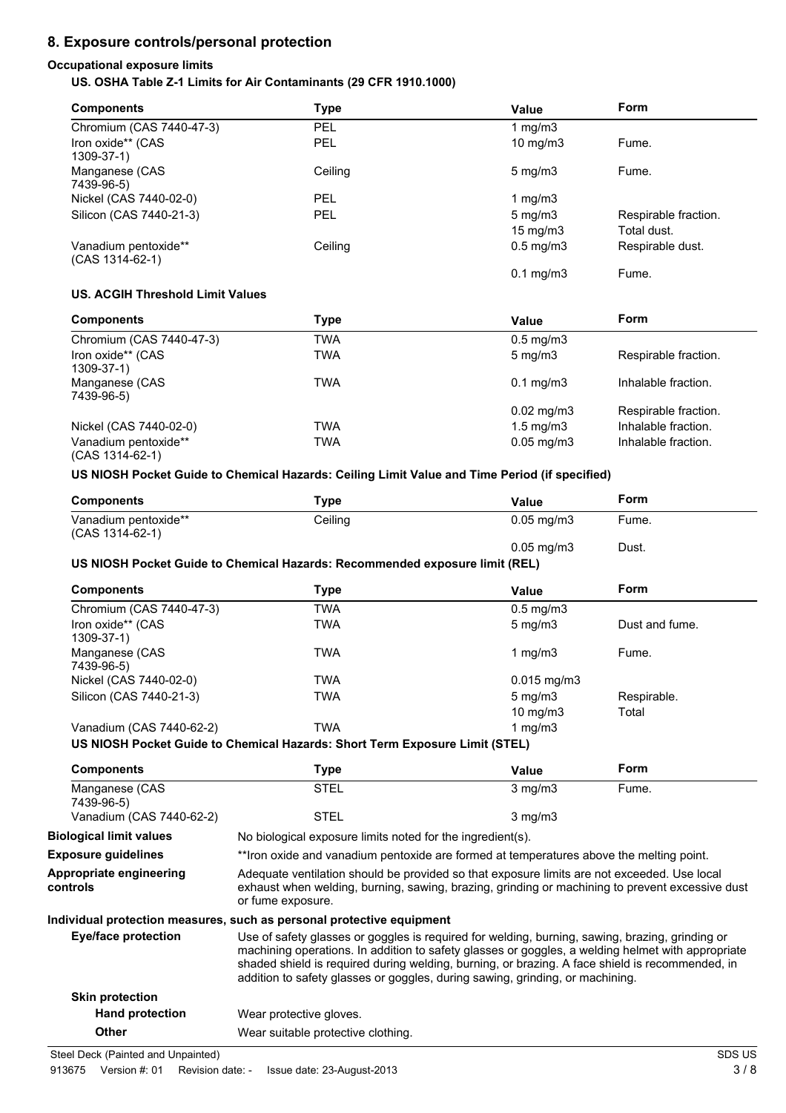# **8. Exposure controls/personal protection**

### **Occupational exposure limits US. OSHA Table Z-1 Limits for Air Contaminants (29 CFR 1910.1000)**

| <b>Components</b>                         | Type       | Value                | <b>Form</b>                         |
|-------------------------------------------|------------|----------------------|-------------------------------------|
| Chromium (CAS 7440-47-3)                  | <b>PEL</b> | 1 mg/m $3$           |                                     |
| Iron oxide** (CAS<br>$1309 - 37 - 1$      | <b>PEL</b> | 10 mg/m $3$          | Fume.                               |
| Manganese (CAS<br>7439-96-5)              | Ceiling    | $5 \text{ mg/m}$     | Fume.                               |
| Nickel (CAS 7440-02-0)                    | <b>PEL</b> | 1 mg/m3              |                                     |
| Silicon (CAS 7440-21-3)                   | <b>PEL</b> | $5 \text{ mg/m}$     | Respirable fraction.<br>Total dust. |
|                                           |            | $15 \text{ mg/m}$    |                                     |
| Vanadium pentoxide**<br>$(CAS 1314-62-1)$ | Ceiling    | $0.5 \text{ mg/m}$ 3 | Respirable dust.                    |
|                                           |            | $0.1 \text{ mg/m}$   | Fume.                               |

#### **US. ACGIH Threshold Limit Values**

| <b>Components</b>                       | Type | Value                  | Form                 |
|-----------------------------------------|------|------------------------|----------------------|
| Chromium (CAS 7440-47-3)                | TWA  | $0.5$ mg/m $3$         |                      |
| Iron oxide** (CAS<br>1309-37-1)         | TWA  | $5 \text{ mg/m}$       | Respirable fraction. |
| Manganese (CAS<br>7439-96-5)            | TWA  | $0.1 \,\mathrm{mg/m3}$ | Inhalable fraction.  |
|                                         |      | $0.02 \text{ mg/m}$ 3  | Respirable fraction. |
| Nickel (CAS 7440-02-0)                  | TWA  | $1.5 \text{ mg/m}$     | Inhalable fraction.  |
| Vanadium pentoxide**<br>(CAS 1314-62-1) | TWA  | $0.05$ mg/m $3$        | Inhalable fraction.  |

#### **US NIOSH Pocket Guide to Chemical Hazards: Ceiling Limit Value and Time Period (if specified)**

| <b>Components</b>                       | <b>Type</b>                                                                                                                                                                                                                                                                                                                                                                              | <b>Value</b>    | Form           |
|-----------------------------------------|------------------------------------------------------------------------------------------------------------------------------------------------------------------------------------------------------------------------------------------------------------------------------------------------------------------------------------------------------------------------------------------|-----------------|----------------|
| Vanadium pentoxide**<br>(CAS 1314-62-1) | Ceiling                                                                                                                                                                                                                                                                                                                                                                                  | $0.05$ mg/m $3$ | Fume.          |
|                                         |                                                                                                                                                                                                                                                                                                                                                                                          | $0.05$ mg/m $3$ | Dust.          |
|                                         | US NIOSH Pocket Guide to Chemical Hazards: Recommended exposure limit (REL)                                                                                                                                                                                                                                                                                                              |                 |                |
| <b>Components</b>                       | <b>Type</b>                                                                                                                                                                                                                                                                                                                                                                              | <b>Value</b>    | <b>Form</b>    |
| Chromium (CAS 7440-47-3)                | <b>TWA</b>                                                                                                                                                                                                                                                                                                                                                                               | $0.5$ mg/m $3$  |                |
| Iron oxide** (CAS<br>1309-37-1)         | <b>TWA</b>                                                                                                                                                                                                                                                                                                                                                                               | $5$ mg/m $3$    | Dust and fume. |
| Manganese (CAS<br>7439-96-5)            | <b>TWA</b>                                                                                                                                                                                                                                                                                                                                                                               | 1 $mg/m3$       | Fume.          |
| Nickel (CAS 7440-02-0)                  | <b>TWA</b>                                                                                                                                                                                                                                                                                                                                                                               | $0.015$ mg/m3   |                |
| Silicon (CAS 7440-21-3)                 | <b>TWA</b>                                                                                                                                                                                                                                                                                                                                                                               | $5$ mg/m $3$    | Respirable.    |
|                                         |                                                                                                                                                                                                                                                                                                                                                                                          | 10 mg/m3        | Total          |
| Vanadium (CAS 7440-62-2)                | <b>TWA</b>                                                                                                                                                                                                                                                                                                                                                                               | 1 $mg/m3$       |                |
|                                         | US NIOSH Pocket Guide to Chemical Hazards: Short Term Exposure Limit (STEL)                                                                                                                                                                                                                                                                                                              |                 |                |
| <b>Components</b>                       | <b>Type</b>                                                                                                                                                                                                                                                                                                                                                                              | <b>Value</b>    | Form           |
| Manganese (CAS<br>7439-96-5)            | <b>STEL</b>                                                                                                                                                                                                                                                                                                                                                                              | $3$ mg/m $3$    | Fume.          |
| Vanadium (CAS 7440-62-2)                | <b>STEL</b>                                                                                                                                                                                                                                                                                                                                                                              | $3$ mg/m $3$    |                |
| <b>Biological limit values</b>          | No biological exposure limits noted for the ingredient(s).                                                                                                                                                                                                                                                                                                                               |                 |                |
| <b>Exposure guidelines</b>              | **Iron oxide and vanadium pentoxide are formed at temperatures above the melting point.                                                                                                                                                                                                                                                                                                  |                 |                |
| Appropriate engineering<br>controls     | Adequate ventilation should be provided so that exposure limits are not exceeded. Use local<br>exhaust when welding, burning, sawing, brazing, grinding or machining to prevent excessive dust<br>or fume exposure.                                                                                                                                                                      |                 |                |
|                                         | Individual protection measures, such as personal protective equipment                                                                                                                                                                                                                                                                                                                    |                 |                |
| <b>Eye/face protection</b>              | Use of safety glasses or goggles is required for welding, burning, sawing, brazing, grinding or<br>machining operations. In addition to safety glasses or goggles, a welding helmet with appropriate<br>shaded shield is required during welding, burning, or brazing. A face shield is recommended, in<br>addition to safety glasses or goggles, during sawing, grinding, or machining. |                 |                |
| <b>Skin protection</b>                  |                                                                                                                                                                                                                                                                                                                                                                                          |                 |                |
| <b>Hand protection</b>                  | Wear protective gloves.                                                                                                                                                                                                                                                                                                                                                                  |                 |                |
| <b>Other</b>                            | Wear suitable protective clothing.                                                                                                                                                                                                                                                                                                                                                       |                 |                |
|                                         |                                                                                                                                                                                                                                                                                                                                                                                          |                 |                |

Steel Deck (Painted and Unpainted) SDS US

913675 Version #: 01 Revision date: - Issue date: 23-August-2013 3/8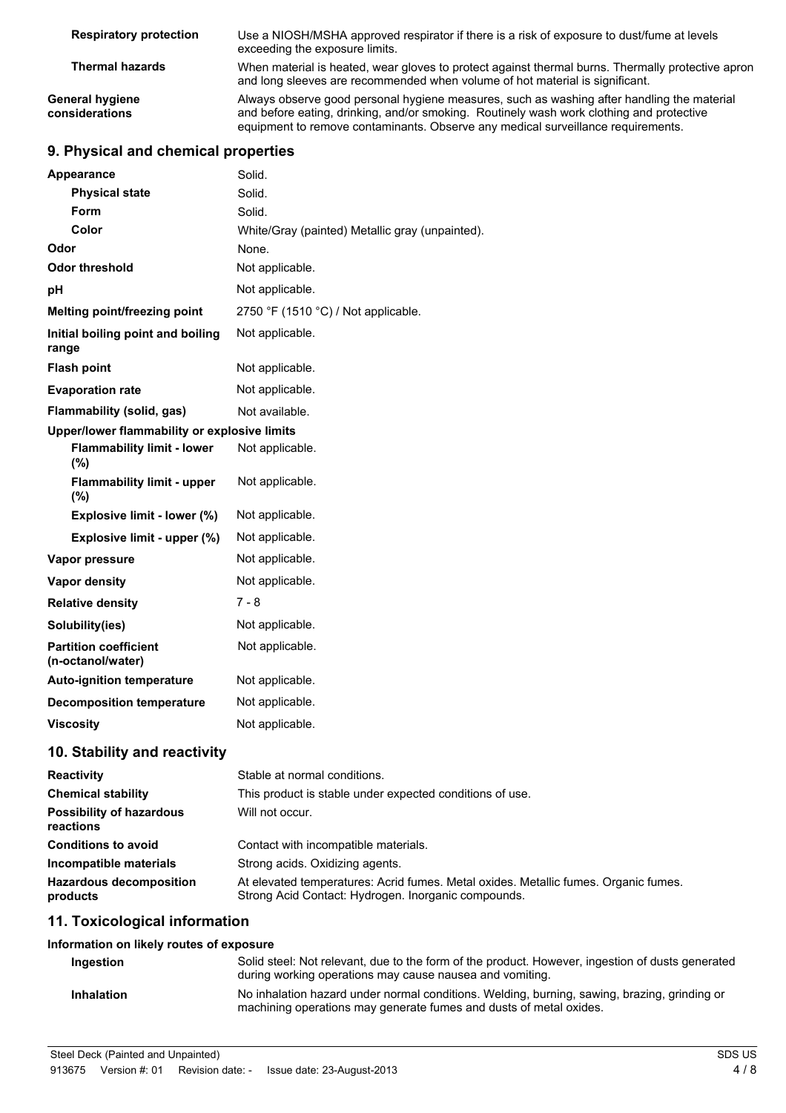| <b>Respiratory protection</b>            | Use a NIOSH/MSHA approved respirator if there is a risk of exposure to dust/fume at levels<br>exceeding the exposure limits.                                                                                                                                               |
|------------------------------------------|----------------------------------------------------------------------------------------------------------------------------------------------------------------------------------------------------------------------------------------------------------------------------|
| <b>Thermal hazards</b>                   | When material is heated, wear gloves to protect against thermal burns. Thermally protective apron<br>and long sleeves are recommended when volume of hot material is significant.                                                                                          |
| <b>General hygiene</b><br>considerations | Always observe good personal hygiene measures, such as washing after handling the material<br>and before eating, drinking, and/or smoking. Routinely wash work clothing and protective<br>equipment to remove contaminants. Observe any medical surveillance requirements. |

# **9. Physical and chemical properties**

| Appearance                                        | Solid.                                                   |
|---------------------------------------------------|----------------------------------------------------------|
| <b>Physical state</b>                             | Solid.                                                   |
| Form                                              | Solid.                                                   |
| Color                                             | White/Gray (painted) Metallic gray (unpainted).          |
| Odor                                              | None.                                                    |
| <b>Odor threshold</b>                             | Not applicable.                                          |
| рH                                                | Not applicable.                                          |
| Melting point/freezing point                      | 2750 °F (1510 °C) / Not applicable.                      |
| Initial boiling point and boiling<br>range        | Not applicable.                                          |
| <b>Flash point</b>                                | Not applicable.                                          |
| <b>Evaporation rate</b>                           | Not applicable.                                          |
| Flammability (solid, gas)                         | Not available.                                           |
| Upper/lower flammability or explosive limits      |                                                          |
| <b>Flammability limit - lower</b><br>(%)          | Not applicable.                                          |
| <b>Flammability limit - upper</b><br>(%)          | Not applicable.                                          |
| Explosive limit - lower (%)                       | Not applicable.                                          |
| Explosive limit - upper (%)                       | Not applicable.                                          |
| Vapor pressure                                    | Not applicable.                                          |
| <b>Vapor density</b>                              | Not applicable.                                          |
| <b>Relative density</b>                           | $7 - 8$                                                  |
| Solubility(ies)                                   | Not applicable.                                          |
| <b>Partition coefficient</b><br>(n-octanol/water) | Not applicable.                                          |
| <b>Auto-ignition temperature</b>                  | Not applicable.                                          |
| <b>Decomposition temperature</b>                  | Not applicable.                                          |
| <b>Viscosity</b>                                  | Not applicable.                                          |
| 10. Stability and reactivity                      |                                                          |
| <b>Reactivity</b>                                 | Stable at normal conditions.                             |
| <b>Chemical stability</b>                         | This product is stable under expected conditions of use. |
| <b>Possibility of hazardous</b>                   | Will not occur.                                          |

| reactions                                  |                                                                                                                                            |
|--------------------------------------------|--------------------------------------------------------------------------------------------------------------------------------------------|
| <b>Conditions to avoid</b>                 | Contact with incompatible materials.                                                                                                       |
| Incompatible materials                     | Strong acids. Oxidizing agents.                                                                                                            |
| <b>Hazardous decomposition</b><br>products | At elevated temperatures: Acrid fumes. Metal oxides. Metallic fumes. Organic fumes.<br>Strong Acid Contact: Hydrogen. Inorganic compounds. |

### **11. Toxicological information**

| Information on likely routes of exposure |                                                                                                                                                                    |
|------------------------------------------|--------------------------------------------------------------------------------------------------------------------------------------------------------------------|
| Ingestion                                | Solid steel: Not relevant, due to the form of the product. However, ingestion of dusts generated<br>during working operations may cause nausea and vomiting.       |
| <b>Inhalation</b>                        | No inhalation hazard under normal conditions. Welding, burning, sawing, brazing, grinding or<br>machining operations may generate fumes and dusts of metal oxides. |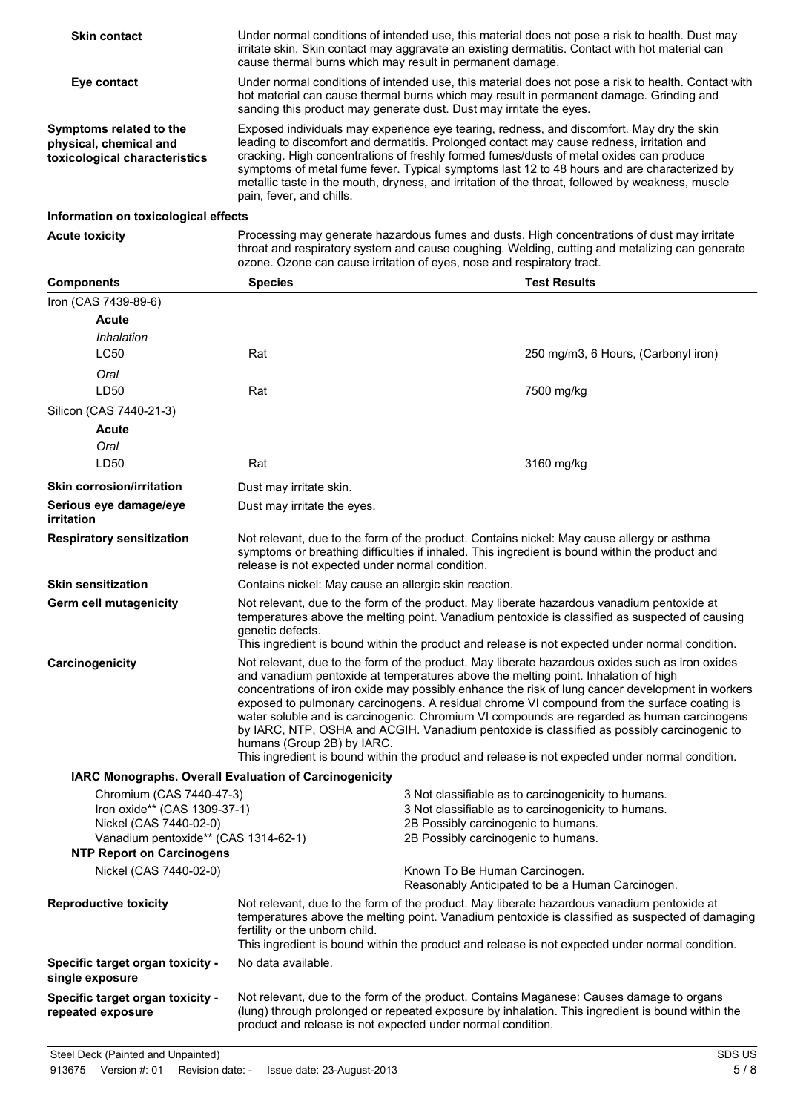| <b>Skin contact</b>                                                                | Under normal conditions of intended use, this material does not pose a risk to health. Dust may<br>irritate skin. Skin contact may aggravate an existing dermatitis. Contact with hot material can<br>cause thermal burns which may result in permanent damage.                                                                                                                                                                                                                                                  |
|------------------------------------------------------------------------------------|------------------------------------------------------------------------------------------------------------------------------------------------------------------------------------------------------------------------------------------------------------------------------------------------------------------------------------------------------------------------------------------------------------------------------------------------------------------------------------------------------------------|
| Eye contact                                                                        | Under normal conditions of intended use, this material does not pose a risk to health. Contact with<br>hot material can cause thermal burns which may result in permanent damage. Grinding and<br>sanding this product may generate dust. Dust may irritate the eyes.                                                                                                                                                                                                                                            |
| Symptoms related to the<br>physical, chemical and<br>toxicological characteristics | Exposed individuals may experience eye tearing, redness, and discomfort. May dry the skin<br>leading to discomfort and dermatitis. Prolonged contact may cause redness, irritation and<br>cracking. High concentrations of freshly formed fumes/dusts of metal oxides can produce<br>symptoms of metal fume fever. Typical symptoms last 12 to 48 hours and are characterized by<br>metallic taste in the mouth, dryness, and irritation of the throat, followed by weakness, muscle<br>pain, fever, and chills. |
| Information on toxicological effects                                               |                                                                                                                                                                                                                                                                                                                                                                                                                                                                                                                  |

**Acute toxicity** Processing may generate hazardous fumes and dusts. High concentrations of dust may irritate throat and respiratory system and cause coughing. Welding, cutting and metalizing can generate ozone. Ozone can cause irritation of eyes, nose and respiratory tract.

| <b>Components</b>                                             | <b>Species</b>                                                                                                                                                                                                                                                                                                                     |                                     | <b>Test Results</b>                                                                                                                                                                                                                                                                                                                                                                                                                                                                                                                                                                               |
|---------------------------------------------------------------|------------------------------------------------------------------------------------------------------------------------------------------------------------------------------------------------------------------------------------------------------------------------------------------------------------------------------------|-------------------------------------|---------------------------------------------------------------------------------------------------------------------------------------------------------------------------------------------------------------------------------------------------------------------------------------------------------------------------------------------------------------------------------------------------------------------------------------------------------------------------------------------------------------------------------------------------------------------------------------------------|
| Iron (CAS 7439-89-6)                                          |                                                                                                                                                                                                                                                                                                                                    |                                     |                                                                                                                                                                                                                                                                                                                                                                                                                                                                                                                                                                                                   |
| <b>Acute</b>                                                  |                                                                                                                                                                                                                                                                                                                                    |                                     |                                                                                                                                                                                                                                                                                                                                                                                                                                                                                                                                                                                                   |
| Inhalation                                                    |                                                                                                                                                                                                                                                                                                                                    |                                     |                                                                                                                                                                                                                                                                                                                                                                                                                                                                                                                                                                                                   |
| <b>LC50</b>                                                   | Rat                                                                                                                                                                                                                                                                                                                                |                                     | 250 mg/m3, 6 Hours, (Carbonyl iron)                                                                                                                                                                                                                                                                                                                                                                                                                                                                                                                                                               |
| Oral                                                          |                                                                                                                                                                                                                                                                                                                                    |                                     |                                                                                                                                                                                                                                                                                                                                                                                                                                                                                                                                                                                                   |
| LD50                                                          | Rat                                                                                                                                                                                                                                                                                                                                |                                     | 7500 mg/kg                                                                                                                                                                                                                                                                                                                                                                                                                                                                                                                                                                                        |
| Silicon (CAS 7440-21-3)                                       |                                                                                                                                                                                                                                                                                                                                    |                                     |                                                                                                                                                                                                                                                                                                                                                                                                                                                                                                                                                                                                   |
| <b>Acute</b>                                                  |                                                                                                                                                                                                                                                                                                                                    |                                     |                                                                                                                                                                                                                                                                                                                                                                                                                                                                                                                                                                                                   |
| Oral                                                          |                                                                                                                                                                                                                                                                                                                                    |                                     |                                                                                                                                                                                                                                                                                                                                                                                                                                                                                                                                                                                                   |
| LD50                                                          | Rat                                                                                                                                                                                                                                                                                                                                |                                     | 3160 mg/kg                                                                                                                                                                                                                                                                                                                                                                                                                                                                                                                                                                                        |
| <b>Skin corrosion/irritation</b>                              | Dust may irritate skin.                                                                                                                                                                                                                                                                                                            |                                     |                                                                                                                                                                                                                                                                                                                                                                                                                                                                                                                                                                                                   |
| Serious eye damage/eye<br><b>irritation</b>                   | Dust may irritate the eyes.                                                                                                                                                                                                                                                                                                        |                                     |                                                                                                                                                                                                                                                                                                                                                                                                                                                                                                                                                                                                   |
| <b>Respiratory sensitization</b>                              | release is not expected under normal condition.                                                                                                                                                                                                                                                                                    |                                     | Not relevant, due to the form of the product. Contains nickel: May cause allergy or asthma<br>symptoms or breathing difficulties if inhaled. This ingredient is bound within the product and                                                                                                                                                                                                                                                                                                                                                                                                      |
| <b>Skin sensitization</b>                                     | Contains nickel: May cause an allergic skin reaction.                                                                                                                                                                                                                                                                              |                                     |                                                                                                                                                                                                                                                                                                                                                                                                                                                                                                                                                                                                   |
| <b>Germ cell mutagenicity</b>                                 | genetic defects.                                                                                                                                                                                                                                                                                                                   |                                     | Not relevant, due to the form of the product. May liberate hazardous vanadium pentoxide at<br>temperatures above the melting point. Vanadium pentoxide is classified as suspected of causing<br>This ingredient is bound within the product and release is not expected under normal condition.                                                                                                                                                                                                                                                                                                   |
| Carcinogenicity                                               | and vanadium pentoxide at temperatures above the melting point. Inhalation of high<br>humans (Group 2B) by IARC.                                                                                                                                                                                                                   |                                     | Not relevant, due to the form of the product. May liberate hazardous oxides such as iron oxides<br>concentrations of iron oxide may possibly enhance the risk of lung cancer development in workers<br>exposed to pulmonary carcinogens. A residual chrome VI compound from the surface coating is<br>water soluble and is carcinogenic. Chromium VI compounds are regarded as human carcinogens<br>by IARC, NTP, OSHA and ACGIH. Vanadium pentoxide is classified as possibly carcinogenic to<br>This ingredient is bound within the product and release is not expected under normal condition. |
| <b>IARC Monographs. Overall Evaluation of Carcinogenicity</b> |                                                                                                                                                                                                                                                                                                                                    |                                     |                                                                                                                                                                                                                                                                                                                                                                                                                                                                                                                                                                                                   |
| Chromium (CAS 7440-47-3)                                      |                                                                                                                                                                                                                                                                                                                                    |                                     | 3 Not classifiable as to carcinogenicity to humans.                                                                                                                                                                                                                                                                                                                                                                                                                                                                                                                                               |
| Iron oxide** (CAS 1309-37-1)<br>Nickel (CAS 7440-02-0)        |                                                                                                                                                                                                                                                                                                                                    | 2B Possibly carcinogenic to humans. | 3 Not classifiable as to carcinogenicity to humans.                                                                                                                                                                                                                                                                                                                                                                                                                                                                                                                                               |
| Vanadium pentoxide** (CAS 1314-62-1)                          |                                                                                                                                                                                                                                                                                                                                    | 2B Possibly carcinogenic to humans. |                                                                                                                                                                                                                                                                                                                                                                                                                                                                                                                                                                                                   |
| <b>NTP Report on Carcinogens</b>                              |                                                                                                                                                                                                                                                                                                                                    |                                     |                                                                                                                                                                                                                                                                                                                                                                                                                                                                                                                                                                                                   |
| Nickel (CAS 7440-02-0)                                        |                                                                                                                                                                                                                                                                                                                                    | Known To Be Human Carcinogen.       | Reasonably Anticipated to be a Human Carcinogen.                                                                                                                                                                                                                                                                                                                                                                                                                                                                                                                                                  |
| <b>Reproductive toxicity</b>                                  | Not relevant, due to the form of the product. May liberate hazardous vanadium pentoxide at<br>temperatures above the melting point. Vanadium pentoxide is classified as suspected of damaging<br>fertility or the unborn child.<br>This ingredient is bound within the product and release is not expected under normal condition. |                                     |                                                                                                                                                                                                                                                                                                                                                                                                                                                                                                                                                                                                   |
| Specific target organ toxicity -<br>single exposure           | No data available.                                                                                                                                                                                                                                                                                                                 |                                     |                                                                                                                                                                                                                                                                                                                                                                                                                                                                                                                                                                                                   |
| Specific target organ toxicity -<br>repeated exposure         | product and release is not expected under normal condition.                                                                                                                                                                                                                                                                        |                                     | Not relevant, due to the form of the product. Contains Maganese: Causes damage to organs<br>(lung) through prolonged or repeated exposure by inhalation. This ingredient is bound within the                                                                                                                                                                                                                                                                                                                                                                                                      |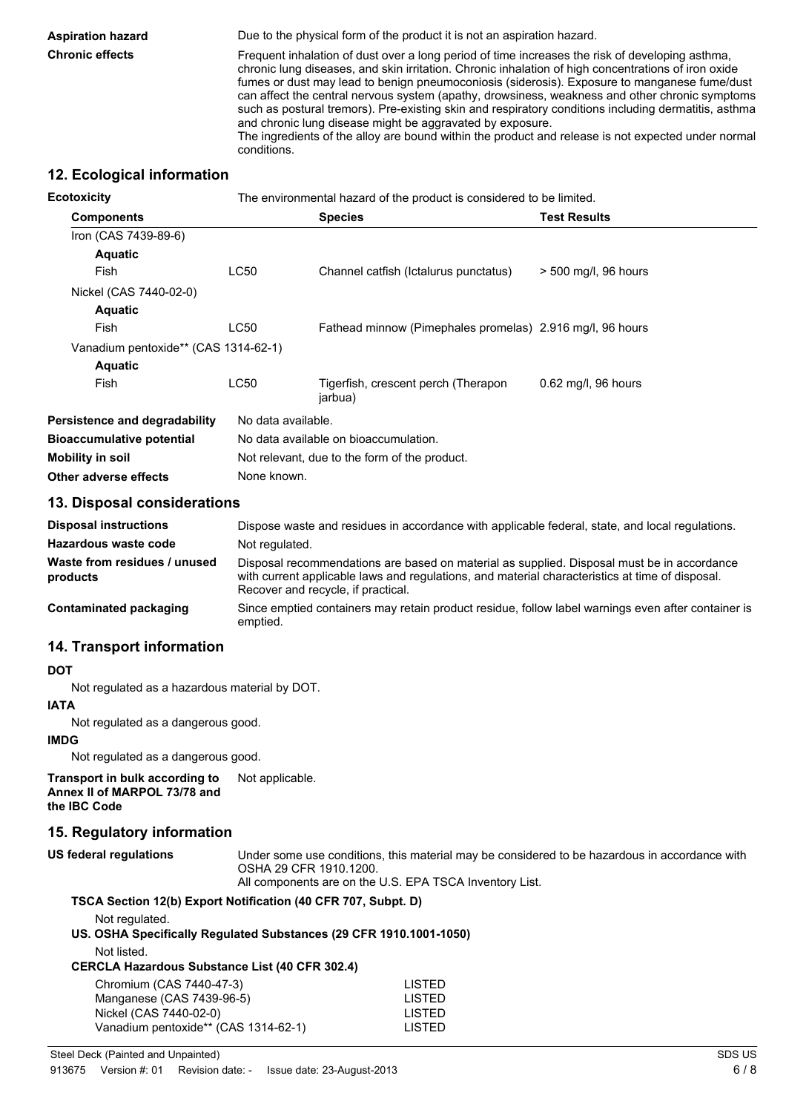**Aspiration hazard** Due to the physical form of the product it is not an aspiration hazard.

**Chronic effects** Frequent inhalation of dust over a long period of time increases the risk of developing asthma, chronic lung diseases, and skin irritation. Chronic inhalation of high concentrations of iron oxide fumes or dust may lead to benign pneumoconiosis (siderosis). Exposure to manganese fume/dust can affect the central nervous system (apathy, drowsiness, weakness and other chronic symptoms such as postural tremors). Pre-existing skin and respiratory conditions including dermatitis, asthma and chronic lung disease might be aggravated by exposure.

The ingredients of the alloy are bound within the product and release is not expected under normal conditions.

# **12. Ecological information**

| <b>Ecotoxicity</b>                   |                                               | The environmental hazard of the product is considered to be limited. |                      |
|--------------------------------------|-----------------------------------------------|----------------------------------------------------------------------|----------------------|
| <b>Components</b>                    |                                               | <b>Species</b>                                                       | <b>Test Results</b>  |
| Iron (CAS 7439-89-6)                 |                                               |                                                                      |                      |
| <b>Aquatic</b>                       |                                               |                                                                      |                      |
| Fish                                 | <b>LC50</b>                                   | Channel catfish (Ictalurus punctatus)                                | > 500 mg/l, 96 hours |
| Nickel (CAS 7440-02-0)               |                                               |                                                                      |                      |
| <b>Aquatic</b>                       |                                               |                                                                      |                      |
| Fish                                 | LC50                                          | Fathead minnow (Pimephales promelas) 2.916 mg/l, 96 hours            |                      |
| Vanadium pentoxide** (CAS 1314-62-1) |                                               |                                                                      |                      |
| <b>Aquatic</b>                       |                                               |                                                                      |                      |
| Fish                                 | LC50                                          | Tigerfish, crescent perch (Therapon<br>jarbua)                       | 0.62 mg/l, 96 hours  |
| Persistence and degradability        | No data available.                            |                                                                      |                      |
| <b>Bioaccumulative potential</b>     | No data available on bioaccumulation.         |                                                                      |                      |
| Mobility in soil                     | Not relevant, due to the form of the product. |                                                                      |                      |
| Other adverse effects                | None known.                                   |                                                                      |                      |

### **13. Disposal considerations**

| <b>Disposal instructions</b>             | Dispose waste and residues in accordance with applicable federal, state, and local regulations.                                                                                                                                     |
|------------------------------------------|-------------------------------------------------------------------------------------------------------------------------------------------------------------------------------------------------------------------------------------|
| Hazardous waste code                     | Not regulated.                                                                                                                                                                                                                      |
| Waste from residues / unused<br>products | Disposal recommendations are based on material as supplied. Disposal must be in accordance<br>with current applicable laws and regulations, and material characteristics at time of disposal.<br>Recover and recycle, if practical. |
| Contaminated packaging                   | Since emptied containers may retain product residue, follow label warnings even after container is<br>emptied.                                                                                                                      |

# **14. Transport information**

#### **DOT**

Not regulated as a hazardous material by DOT.

#### **IATA**

Not regulated as a dangerous good.

#### **IMDG**

Not regulated as a dangerous good.

**Transport in bulk according to Annex II of MARPOL 73/78 and the IBC Code** Not applicable.

# **15. Regulatory information**

| US federal regulations | Under some use conditions, this material may be considered to be hazardous in accordance with |
|------------------------|-----------------------------------------------------------------------------------------------|
|                        | OSHA 29 CFR 1910.1200.                                                                        |
|                        | All concernents are an the LLO. FDA TOOA becombened tot.                                      |

All components are on the U.S. EPA TSCA Inventory List.

#### **TSCA Section 12(b) Export Notification (40 CFR 707, Subpt. D)**

Not regulated.

**US. OSHA Specifically Regulated Substances (29 CFR 1910.1001-1050)**

Not listed.

**CERCLA Hazardous Substance List (40 CFR 302.4)**

| Chromium (CAS 7440-47-3)             | LISTED        |
|--------------------------------------|---------------|
| Manganese (CAS 7439-96-5)            | <b>LISTED</b> |
| Nickel (CAS 7440-02-0)               | LISTED        |
| Vanadium pentoxide** (CAS 1314-62-1) | <b>LISTED</b> |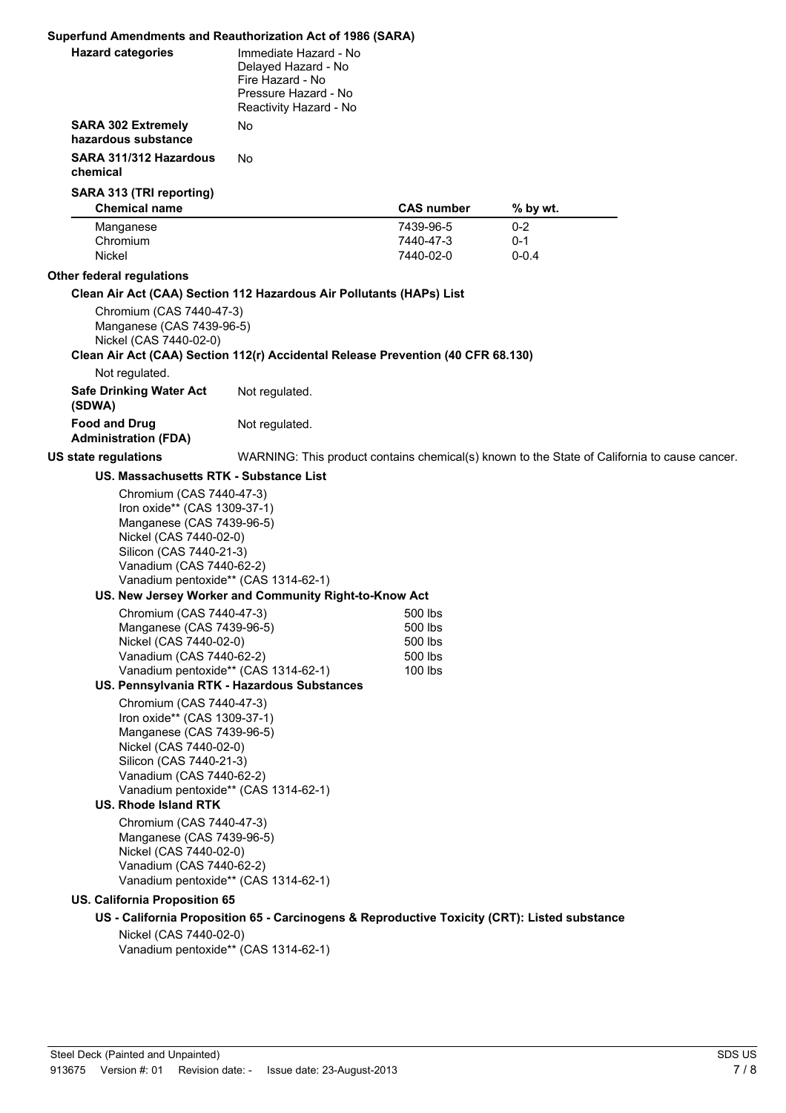| Superfund Amendments and Reauthorization Act of 1986 (SARA)                                                                                                                                                                                   |                                                                                                                    |                        |                                                                                              |
|-----------------------------------------------------------------------------------------------------------------------------------------------------------------------------------------------------------------------------------------------|--------------------------------------------------------------------------------------------------------------------|------------------------|----------------------------------------------------------------------------------------------|
| <b>Hazard categories</b>                                                                                                                                                                                                                      | Immediate Hazard - No<br>Delayed Hazard - No<br>Fire Hazard - No<br>Pressure Hazard - No<br>Reactivity Hazard - No |                        |                                                                                              |
| <b>SARA 302 Extremely</b><br>hazardous substance                                                                                                                                                                                              | No.                                                                                                                |                        |                                                                                              |
| SARA 311/312 Hazardous<br>chemical                                                                                                                                                                                                            | No.                                                                                                                |                        |                                                                                              |
| SARA 313 (TRI reporting)                                                                                                                                                                                                                      |                                                                                                                    |                        |                                                                                              |
| <b>Chemical name</b>                                                                                                                                                                                                                          |                                                                                                                    | <b>CAS number</b>      | % by wt.                                                                                     |
| Manganese                                                                                                                                                                                                                                     |                                                                                                                    | 7439-96-5              | $0 - 2$                                                                                      |
| Chromium<br>Nickel                                                                                                                                                                                                                            |                                                                                                                    | 7440-47-3<br>7440-02-0 | $0 - 1$<br>$0 - 0.4$                                                                         |
|                                                                                                                                                                                                                                               |                                                                                                                    |                        |                                                                                              |
| Other federal regulations                                                                                                                                                                                                                     |                                                                                                                    |                        |                                                                                              |
| Clean Air Act (CAA) Section 112 Hazardous Air Pollutants (HAPs) List<br>Chromium (CAS 7440-47-3)<br>Manganese (CAS 7439-96-5)<br>Nickel (CAS 7440-02-0)<br>Clean Air Act (CAA) Section 112(r) Accidental Release Prevention (40 CFR 68.130)   |                                                                                                                    |                        |                                                                                              |
| Not regulated.                                                                                                                                                                                                                                |                                                                                                                    |                        |                                                                                              |
| <b>Safe Drinking Water Act</b><br>(SDWA)                                                                                                                                                                                                      | Not regulated.                                                                                                     |                        |                                                                                              |
| <b>Food and Drug</b><br><b>Administration (FDA)</b>                                                                                                                                                                                           | Not regulated.                                                                                                     |                        |                                                                                              |
| US state regulations                                                                                                                                                                                                                          |                                                                                                                    |                        | WARNING: This product contains chemical(s) known to the State of California to cause cancer. |
| US. Massachusetts RTK - Substance List                                                                                                                                                                                                        |                                                                                                                    |                        |                                                                                              |
| Iron oxide** (CAS 1309-37-1)<br>Manganese (CAS 7439-96-5)<br>Nickel (CAS 7440-02-0)<br>Silicon (CAS 7440-21-3)<br>Vanadium (CAS 7440-62-2)<br>Vanadium pentoxide** (CAS 1314-62-1)                                                            |                                                                                                                    |                        |                                                                                              |
|                                                                                                                                                                                                                                               | US. New Jersey Worker and Community Right-to-Know Act                                                              |                        |                                                                                              |
| Chromium (CAS 7440-47-3)                                                                                                                                                                                                                      |                                                                                                                    | 500 lbs<br>500 lbs     |                                                                                              |
| Manganese (CAS 7439-96-5)<br>Nickel (CAS 7440-02-0)                                                                                                                                                                                           |                                                                                                                    | 500 lbs                |                                                                                              |
| Vanadium (CAS 7440-62-2)                                                                                                                                                                                                                      |                                                                                                                    | 500 lbs                |                                                                                              |
| Vanadium pentoxide** (CAS 1314-62-1)                                                                                                                                                                                                          | US. Pennsylvania RTK - Hazardous Substances                                                                        | 100 lbs                |                                                                                              |
| Chromium (CAS 7440-47-3)<br>Iron oxide** (CAS 1309-37-1)<br>Manganese (CAS 7439-96-5)<br>Nickel (CAS 7440-02-0)<br>Silicon (CAS 7440-21-3)<br>Vanadium (CAS 7440-62-2)<br>Vanadium pentoxide** (CAS 1314-62-1)<br><b>US. Rhode Island RTK</b> |                                                                                                                    |                        |                                                                                              |
| Chromium (CAS 7440-47-3)<br>Manganese (CAS 7439-96-5)<br>Nickel (CAS 7440-02-0)<br>Vanadium (CAS 7440-62-2)<br>Vanadium pentoxide** (CAS 1314-62-1)<br><b>US. California Proposition 65</b>                                                   |                                                                                                                    |                        |                                                                                              |
|                                                                                                                                                                                                                                               | US - California Proposition 65 - Carcinogens & Reproductive Toxicity (CRT): Listed substance                       |                        |                                                                                              |
| Nickel (CAS 7440-02-0)<br>Vanadium pentoxide** (CAS 1314-62-1)                                                                                                                                                                                |                                                                                                                    |                        |                                                                                              |